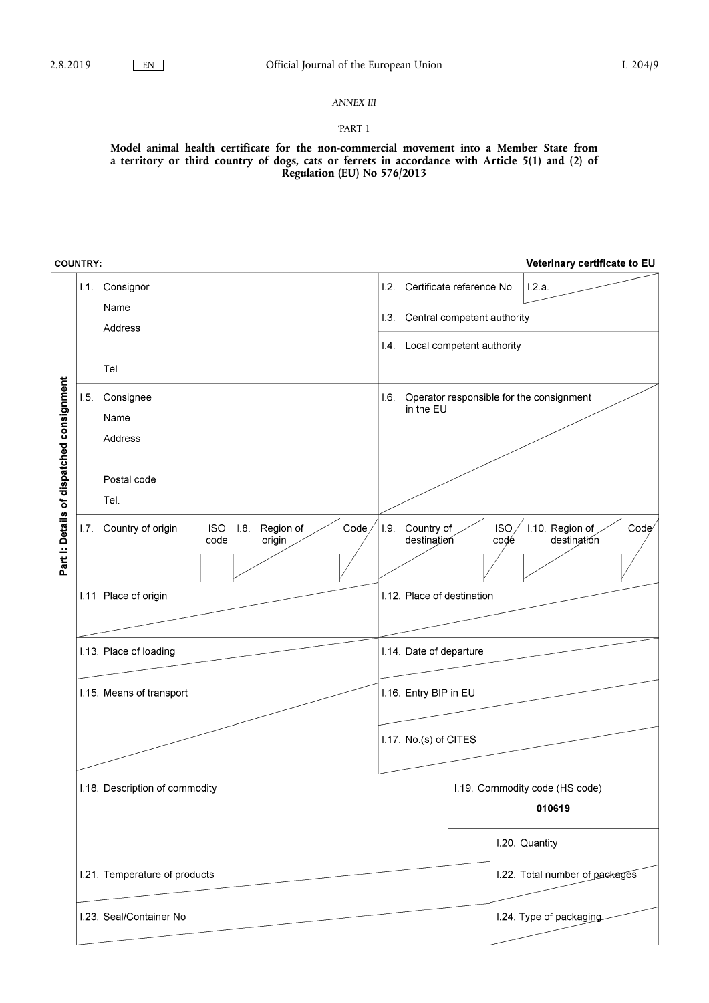## *ANNEX III*

### 'PART 1

**Model animal health certificate for the non-commercial movement into a Member State from a territory or third country of dogs, cats or ferrets in accordance with Article 5(1) and (2) of Regulation (EU) No 576/2013** 

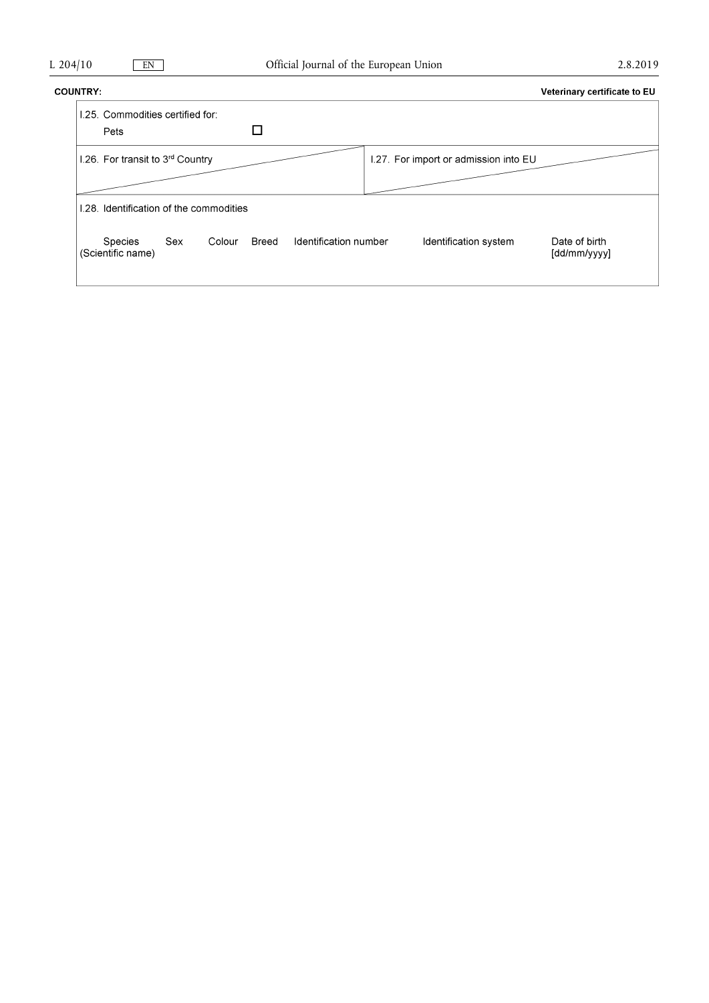## **COUNTRY:**

| NTRY: |                                          |     |        |       |                       |                                       | Veterinary certificate to EU  |
|-------|------------------------------------------|-----|--------|-------|-----------------------|---------------------------------------|-------------------------------|
|       | 1.25. Commodities certified for:<br>Pets |     |        |       |                       |                                       |                               |
|       | 1.26. For transit to 3rd Country         |     |        |       |                       | 1.27. For import or admission into EU |                               |
|       | 1.28. Identification of the commodities  |     |        |       |                       |                                       |                               |
|       | Species<br>(Scientific name)             | Sex | Colour | Breed | Identification number | Identification system                 | Date of birth<br>[dd/mm/yyyy] |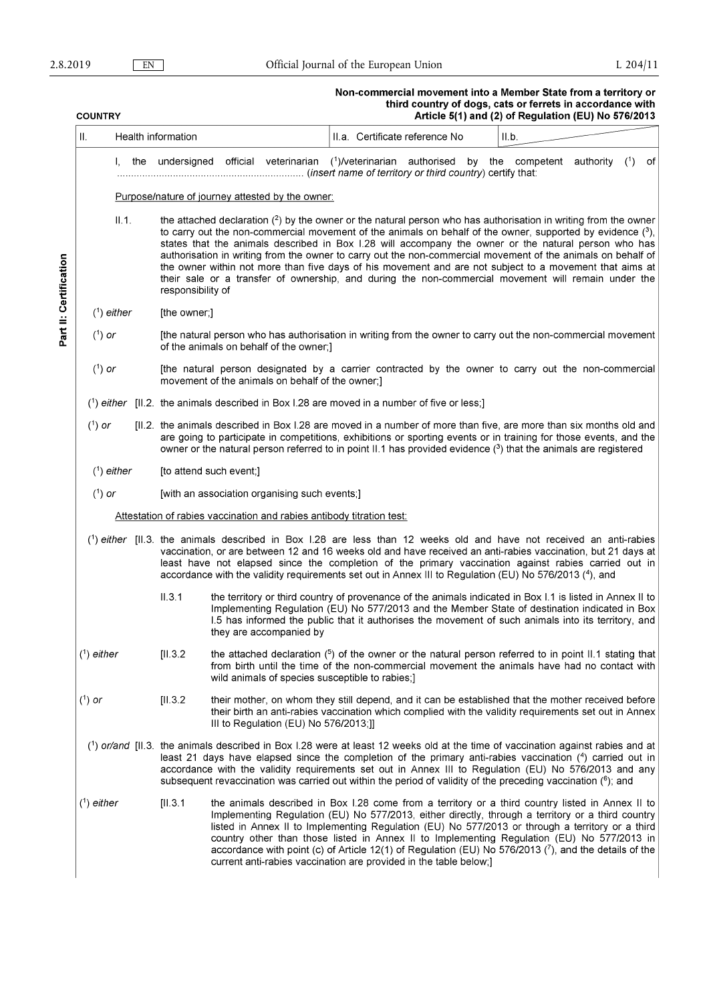Part II: Certification

## Non-commercial movement into a Member State from a territory or<br>third country of dogs, cats or ferrets in accordance with<br>Article 5(1) and (2) of Regulation (EU) No 576/2013

| <b>COUNTRY</b> |                                                  |  |                                                                                                                                                                                                                                                                                                                                                                                                                                                                                      |                                                                                                                                                         |                                       | Article 5(1) and (2) of Regulation (EU) No 576/2013                                                                                                                                                                                                                                                                                                                                                                                                                                                                                                                                                                                                                          |  |  |  |  |     |    |
|----------------|--------------------------------------------------|--|--------------------------------------------------------------------------------------------------------------------------------------------------------------------------------------------------------------------------------------------------------------------------------------------------------------------------------------------------------------------------------------------------------------------------------------------------------------------------------------|---------------------------------------------------------------------------------------------------------------------------------------------------------|---------------------------------------|------------------------------------------------------------------------------------------------------------------------------------------------------------------------------------------------------------------------------------------------------------------------------------------------------------------------------------------------------------------------------------------------------------------------------------------------------------------------------------------------------------------------------------------------------------------------------------------------------------------------------------------------------------------------------|--|--|--|--|-----|----|
| II.            |                                                  |  | Health information                                                                                                                                                                                                                                                                                                                                                                                                                                                                   |                                                                                                                                                         |                                       | II.a. Certificate reference No<br>II.b.                                                                                                                                                                                                                                                                                                                                                                                                                                                                                                                                                                                                                                      |  |  |  |  |     |    |
|                | Ι.                                               |  |                                                                                                                                                                                                                                                                                                                                                                                                                                                                                      |                                                                                                                                                         |                                       | the undersigned official veterinarian $(1)$ /veterinarian authorised by the competent authority                                                                                                                                                                                                                                                                                                                                                                                                                                                                                                                                                                              |  |  |  |  | (1) | 0f |
|                | Purpose/nature of journey attested by the owner: |  |                                                                                                                                                                                                                                                                                                                                                                                                                                                                                      |                                                                                                                                                         |                                       |                                                                                                                                                                                                                                                                                                                                                                                                                                                                                                                                                                                                                                                                              |  |  |  |  |     |    |
|                | II.1.                                            |  | responsibility of                                                                                                                                                                                                                                                                                                                                                                                                                                                                    |                                                                                                                                                         |                                       | the attached declaration $(2)$ by the owner or the natural person who has authorisation in writing from the owner<br>to carry out the non-commercial movement of the animals on behalf of the owner, supported by evidence $(3)$ ,<br>states that the animals described in Box 1.28 will accompany the owner or the natural person who has<br>authorisation in writing from the owner to carry out the non-commercial movement of the animals on behalf of<br>the owner within not more than five days of his movement and are not subject to a movement that aims at<br>their sale or a transfer of ownership, and during the non-commercial movement will remain under the |  |  |  |  |     |    |
|                | $(1)$ either                                     |  | [the owner;]                                                                                                                                                                                                                                                                                                                                                                                                                                                                         |                                                                                                                                                         |                                       |                                                                                                                                                                                                                                                                                                                                                                                                                                                                                                                                                                                                                                                                              |  |  |  |  |     |    |
| $(1)$ or       |                                                  |  |                                                                                                                                                                                                                                                                                                                                                                                                                                                                                      | [the natural person who has authorisation in writing from the owner to carry out the non-commercial movement<br>of the animals on behalf of the owner;] |                                       |                                                                                                                                                                                                                                                                                                                                                                                                                                                                                                                                                                                                                                                                              |  |  |  |  |     |    |
| $(^{1})$ or    |                                                  |  |                                                                                                                                                                                                                                                                                                                                                                                                                                                                                      | [the natural person designated by a carrier contracted by the owner to carry out the non-commercial<br>movement of the animals on behalf of the owner;] |                                       |                                                                                                                                                                                                                                                                                                                                                                                                                                                                                                                                                                                                                                                                              |  |  |  |  |     |    |
|                |                                                  |  |                                                                                                                                                                                                                                                                                                                                                                                                                                                                                      |                                                                                                                                                         |                                       | $(1)$ either [II.2. the animals described in Box I.28 are moved in a number of five or less;]                                                                                                                                                                                                                                                                                                                                                                                                                                                                                                                                                                                |  |  |  |  |     |    |
| $(1)$ or       |                                                  |  |                                                                                                                                                                                                                                                                                                                                                                                                                                                                                      |                                                                                                                                                         |                                       | [II.2. the animals described in Box I.28 are moved in a number of more than five, are more than six months old and<br>are going to participate in competitions, exhibitions or sporting events or in training for those events, and the<br>owner or the natural person referred to in point II.1 has provided evidence ( <sup>3</sup> ) that the animals are registered                                                                                                                                                                                                                                                                                                      |  |  |  |  |     |    |
|                | $(1)$ either                                     |  | [to attend such event;]                                                                                                                                                                                                                                                                                                                                                                                                                                                              |                                                                                                                                                         |                                       |                                                                                                                                                                                                                                                                                                                                                                                                                                                                                                                                                                                                                                                                              |  |  |  |  |     |    |
| $(1)$ or       |                                                  |  | [with an association organising such events;]                                                                                                                                                                                                                                                                                                                                                                                                                                        |                                                                                                                                                         |                                       |                                                                                                                                                                                                                                                                                                                                                                                                                                                                                                                                                                                                                                                                              |  |  |  |  |     |    |
|                |                                                  |  |                                                                                                                                                                                                                                                                                                                                                                                                                                                                                      |                                                                                                                                                         |                                       | Attestation of rabies vaccination and rabies antibody titration test:                                                                                                                                                                                                                                                                                                                                                                                                                                                                                                                                                                                                        |  |  |  |  |     |    |
|                |                                                  |  |                                                                                                                                                                                                                                                                                                                                                                                                                                                                                      |                                                                                                                                                         |                                       | $(1)$ either [II.3. the animals described in Box 1.28 are less than 12 weeks old and have not received an anti-rabies<br>vaccination, or are between 12 and 16 weeks old and have received an anti-rabies vaccination, but 21 days at<br>least have not elapsed since the completion of the primary vaccination against rabies carried out in<br>accordance with the validity requirements set out in Annex III to Regulation (EU) No 576/2013 (4), and                                                                                                                                                                                                                      |  |  |  |  |     |    |
|                |                                                  |  | II.3.1                                                                                                                                                                                                                                                                                                                                                                                                                                                                               |                                                                                                                                                         | they are accompanied by               | the territory or third country of provenance of the animals indicated in Box I.1 is listed in Annex II to<br>Implementing Regulation (EU) No 577/2013 and the Member State of destination indicated in Box<br>1.5 has informed the public that it authorises the movement of such animals into its territory, and                                                                                                                                                                                                                                                                                                                                                            |  |  |  |  |     |    |
| $(1)$ either   |                                                  |  | [II.3.2]                                                                                                                                                                                                                                                                                                                                                                                                                                                                             |                                                                                                                                                         |                                       | the attached declaration $(5)$ of the owner or the natural person referred to in point II.1 stating that<br>from birth until the time of the non-commercial movement the animals have had no contact with<br>wild animals of species susceptible to rabies;]                                                                                                                                                                                                                                                                                                                                                                                                                 |  |  |  |  |     |    |
| $(1)$ or       |                                                  |  | [11.3.2]                                                                                                                                                                                                                                                                                                                                                                                                                                                                             |                                                                                                                                                         | III to Regulation (EU) No 576/2013;]] | their mother, on whom they still depend, and it can be established that the mother received before<br>their birth an anti-rabies vaccination which complied with the validity requirements set out in Annex                                                                                                                                                                                                                                                                                                                                                                                                                                                                  |  |  |  |  |     |    |
|                |                                                  |  | $(1)$ or/and [II.3. the animals described in Box I.28 were at least 12 weeks old at the time of vaccination against rabies and at<br>least 21 days have elapsed since the completion of the primary anti-rabies vaccination (4) carried out in<br>accordance with the validity requirements set out in Annex III to Regulation (EU) No 576/2013 and any<br>subsequent revaccination was carried out within the period of validity of the preceding vaccination ( <sup>6</sup> ); and |                                                                                                                                                         |                                       |                                                                                                                                                                                                                                                                                                                                                                                                                                                                                                                                                                                                                                                                              |  |  |  |  |     |    |
| $(1)$ either   |                                                  |  | [II.3.1]                                                                                                                                                                                                                                                                                                                                                                                                                                                                             |                                                                                                                                                         |                                       | the animals described in Box 1.28 come from a territory or a third country listed in Annex II to<br>Implementing Regulation (EU) No 577/2013, either directly, through a territory or a third country<br>listed in Annex II to Implementing Regulation (EU) No 577/2013 or through a territory or a third<br>country other than those listed in Annex II to Implementing Regulation (EU) No 577/2013 in<br>accordance with point (c) of Article 12(1) of Regulation (EU) No 576/2013 $(7)$ , and the details of the<br>current anti-rabies vaccination are provided in the table below;                                                                                      |  |  |  |  |     |    |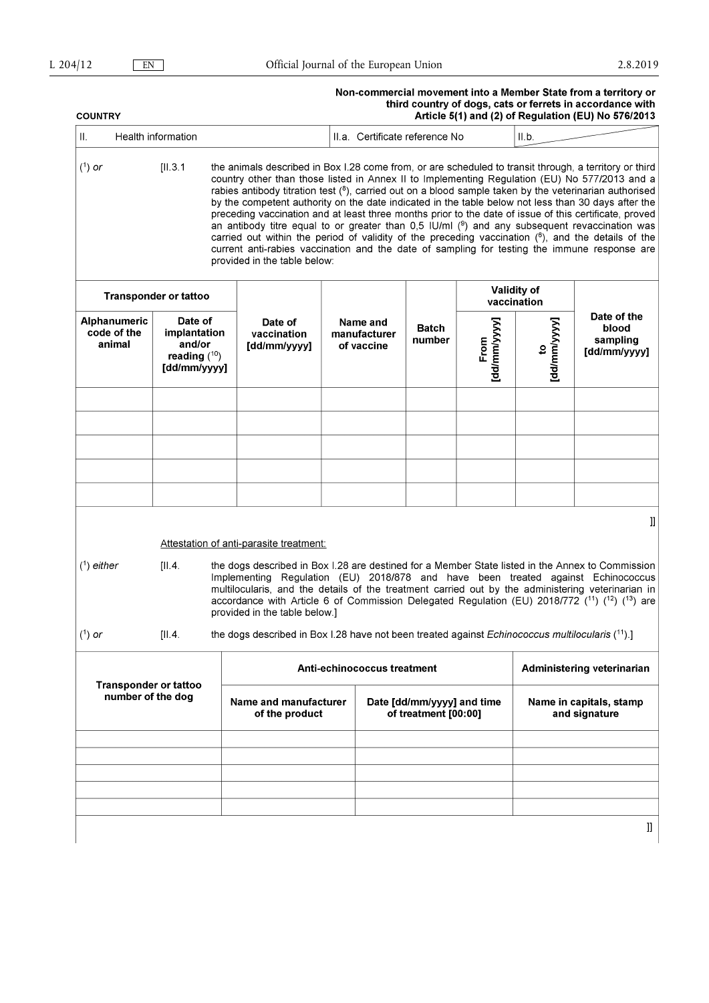## Non-commercial movement into a Member State from a territory or<br>third country of dogs, cats or ferrets in accordance with<br>Article 5(1) and (2) of Regulation (EU) No 576/2013

| Article 5(1) and (2) of Regulation (EU) No 576/2013<br><b>COUNTRY</b>                                                                                                                                                                                                                                                                                                                                                                                                      |                                                                        |  |                                                                                                                                                                                                                                                                                                                                                                                                                                                                                                                                                                                                                                                                                                                                                                                                                                                                                      |  |                                                    |                        |                                   |                                          |                                                  |  |
|----------------------------------------------------------------------------------------------------------------------------------------------------------------------------------------------------------------------------------------------------------------------------------------------------------------------------------------------------------------------------------------------------------------------------------------------------------------------------|------------------------------------------------------------------------|--|--------------------------------------------------------------------------------------------------------------------------------------------------------------------------------------------------------------------------------------------------------------------------------------------------------------------------------------------------------------------------------------------------------------------------------------------------------------------------------------------------------------------------------------------------------------------------------------------------------------------------------------------------------------------------------------------------------------------------------------------------------------------------------------------------------------------------------------------------------------------------------------|--|----------------------------------------------------|------------------------|-----------------------------------|------------------------------------------|--------------------------------------------------|--|
| Health information<br>Ш.                                                                                                                                                                                                                                                                                                                                                                                                                                                   |                                                                        |  |                                                                                                                                                                                                                                                                                                                                                                                                                                                                                                                                                                                                                                                                                                                                                                                                                                                                                      |  | II.a. Certificate reference No<br>II.b.            |                        |                                   |                                          |                                                  |  |
| $(1)$ or                                                                                                                                                                                                                                                                                                                                                                                                                                                                   | [II.3.1]                                                               |  | the animals described in Box 1.28 come from, or are scheduled to transit through, a territory or third<br>country other than those listed in Annex II to Implementing Regulation (EU) No 577/2013 and a<br>rabies antibody titration test $(^{8})$ , carried out on a blood sample taken by the veterinarian authorised<br>by the competent authority on the date indicated in the table below not less than 30 days after the<br>preceding vaccination and at least three months prior to the date of issue of this certificate, proved<br>an antibody titre equal to or greater than 0,5 IU/ml $(9)$ and any subsequent revaccination was<br>carried out within the period of validity of the preceding vaccination $(6)$ , and the details of the<br>current anti-rabies vaccination and the date of sampling for testing the immune response are<br>provided in the table below: |  |                                                    |                        |                                   |                                          |                                                  |  |
|                                                                                                                                                                                                                                                                                                                                                                                                                                                                            | <b>Transponder or tattoo</b>                                           |  |                                                                                                                                                                                                                                                                                                                                                                                                                                                                                                                                                                                                                                                                                                                                                                                                                                                                                      |  |                                                    |                        | <b>Validity of</b><br>vaccination |                                          |                                                  |  |
| Alphanumeric<br>code of the<br>animal                                                                                                                                                                                                                                                                                                                                                                                                                                      | Date of<br>implantation<br>and/or<br>reading $(^{10})$<br>[dd/mm/yyyy] |  | Date of<br>vaccination<br>[dd/mm/yyyy]                                                                                                                                                                                                                                                                                                                                                                                                                                                                                                                                                                                                                                                                                                                                                                                                                                               |  | Name and<br>manufacturer<br>of vaccine             | <b>Batch</b><br>number | [dd/mm/yyyy]<br>From              | [dd/mm/yyyy]<br>$\mathbf{c}$             | Date of the<br>blood<br>sampling<br>[dd/mm/yyyy] |  |
|                                                                                                                                                                                                                                                                                                                                                                                                                                                                            |                                                                        |  |                                                                                                                                                                                                                                                                                                                                                                                                                                                                                                                                                                                                                                                                                                                                                                                                                                                                                      |  |                                                    |                        |                                   |                                          |                                                  |  |
|                                                                                                                                                                                                                                                                                                                                                                                                                                                                            |                                                                        |  |                                                                                                                                                                                                                                                                                                                                                                                                                                                                                                                                                                                                                                                                                                                                                                                                                                                                                      |  |                                                    |                        |                                   |                                          |                                                  |  |
|                                                                                                                                                                                                                                                                                                                                                                                                                                                                            |                                                                        |  |                                                                                                                                                                                                                                                                                                                                                                                                                                                                                                                                                                                                                                                                                                                                                                                                                                                                                      |  |                                                    |                        |                                   |                                          |                                                  |  |
|                                                                                                                                                                                                                                                                                                                                                                                                                                                                            |                                                                        |  |                                                                                                                                                                                                                                                                                                                                                                                                                                                                                                                                                                                                                                                                                                                                                                                                                                                                                      |  |                                                    |                        |                                   |                                          |                                                  |  |
|                                                                                                                                                                                                                                                                                                                                                                                                                                                                            |                                                                        |  | Attestation of anti-parasite treatment:                                                                                                                                                                                                                                                                                                                                                                                                                                                                                                                                                                                                                                                                                                                                                                                                                                              |  |                                                    |                        |                                   |                                          | IJ                                               |  |
| $(1)$ either<br>[II.4]<br>the dogs described in Box 1.28 are destined for a Member State listed in the Annex to Commission<br>Implementing Regulation (EU) 2018/878 and have been treated against Echinococcus<br>multilocularis, and the details of the treatment carried out by the administering veterinarian in<br>accordance with Article 6 of Commission Delegated Regulation (EU) 2018/772 ( $^{11}$ ) ( $^{12}$ ) ( $^{13}$ ) are<br>provided in the table below.] |                                                                        |  |                                                                                                                                                                                                                                                                                                                                                                                                                                                                                                                                                                                                                                                                                                                                                                                                                                                                                      |  |                                                    |                        |                                   |                                          |                                                  |  |
| $(1)$ or                                                                                                                                                                                                                                                                                                                                                                                                                                                                   | [II.4]                                                                 |  | the dogs described in Box 1.28 have not been treated against Echinococcus multilocularis (11).]                                                                                                                                                                                                                                                                                                                                                                                                                                                                                                                                                                                                                                                                                                                                                                                      |  |                                                    |                        |                                   |                                          |                                                  |  |
|                                                                                                                                                                                                                                                                                                                                                                                                                                                                            |                                                                        |  | <b>Anti-echinococcus treatment</b>                                                                                                                                                                                                                                                                                                                                                                                                                                                                                                                                                                                                                                                                                                                                                                                                                                                   |  |                                                    |                        |                                   | Administering veterinarian               |                                                  |  |
| <b>Transponder or tattoo</b><br>number of the dog                                                                                                                                                                                                                                                                                                                                                                                                                          |                                                                        |  | Name and manufacturer<br>of the product                                                                                                                                                                                                                                                                                                                                                                                                                                                                                                                                                                                                                                                                                                                                                                                                                                              |  | Date [dd/mm/yyyy] and time<br>of treatment [00:00] |                        |                                   | Name in capitals, stamp<br>and signature |                                                  |  |
|                                                                                                                                                                                                                                                                                                                                                                                                                                                                            |                                                                        |  |                                                                                                                                                                                                                                                                                                                                                                                                                                                                                                                                                                                                                                                                                                                                                                                                                                                                                      |  |                                                    |                        |                                   |                                          |                                                  |  |
|                                                                                                                                                                                                                                                                                                                                                                                                                                                                            |                                                                        |  |                                                                                                                                                                                                                                                                                                                                                                                                                                                                                                                                                                                                                                                                                                                                                                                                                                                                                      |  |                                                    |                        |                                   |                                          |                                                  |  |
|                                                                                                                                                                                                                                                                                                                                                                                                                                                                            |                                                                        |  |                                                                                                                                                                                                                                                                                                                                                                                                                                                                                                                                                                                                                                                                                                                                                                                                                                                                                      |  |                                                    |                        |                                   |                                          |                                                  |  |
|                                                                                                                                                                                                                                                                                                                                                                                                                                                                            |                                                                        |  |                                                                                                                                                                                                                                                                                                                                                                                                                                                                                                                                                                                                                                                                                                                                                                                                                                                                                      |  |                                                    |                        |                                   |                                          | IJ                                               |  |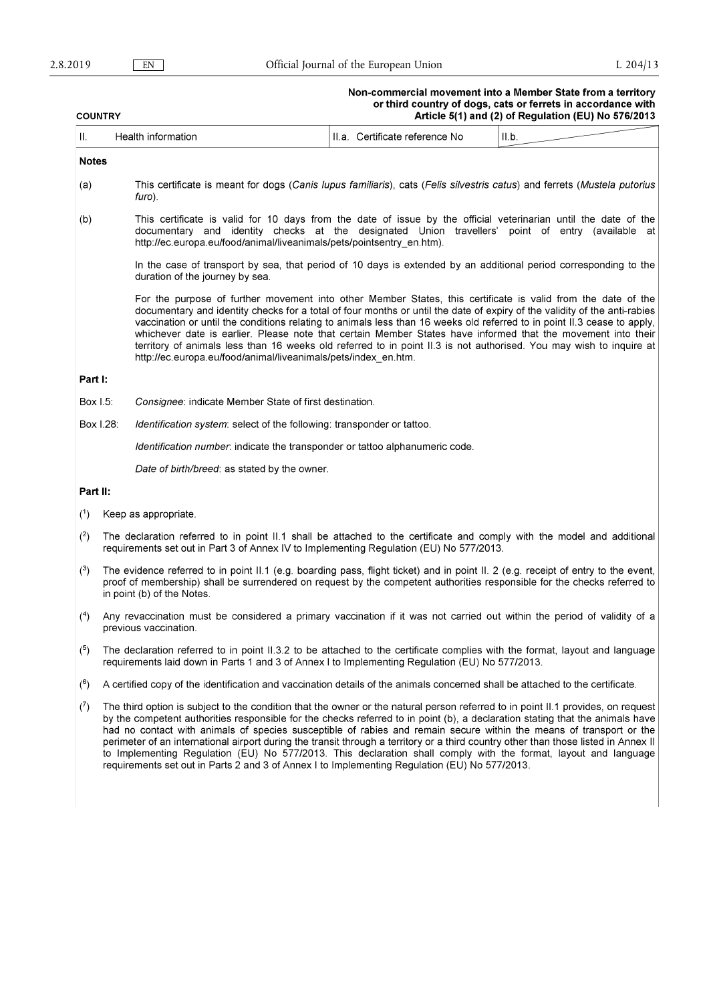## Non-commercial movement into a Member State from a territory<br>or third country of dogs, cats or ferrets in accordance with<br>Article 5(1) and (2) of Regulation (FU) No 576/2013

| Article 5(1) and (2) of Regulation (EU) No 576/2013<br><b>COUNTRY</b> |                                                                                                                                                                                                                                                                                              |                                                                                                                                                                                                                                                                                                                                                                                                                                                                                                                                                                                                                                                                                                                                                     |  |                                |       |  |
|-----------------------------------------------------------------------|----------------------------------------------------------------------------------------------------------------------------------------------------------------------------------------------------------------------------------------------------------------------------------------------|-----------------------------------------------------------------------------------------------------------------------------------------------------------------------------------------------------------------------------------------------------------------------------------------------------------------------------------------------------------------------------------------------------------------------------------------------------------------------------------------------------------------------------------------------------------------------------------------------------------------------------------------------------------------------------------------------------------------------------------------------------|--|--------------------------------|-------|--|
| Н.                                                                    |                                                                                                                                                                                                                                                                                              | Health information                                                                                                                                                                                                                                                                                                                                                                                                                                                                                                                                                                                                                                                                                                                                  |  | II.a. Certificate reference No | II.b. |  |
| <b>Notes</b>                                                          |                                                                                                                                                                                                                                                                                              |                                                                                                                                                                                                                                                                                                                                                                                                                                                                                                                                                                                                                                                                                                                                                     |  |                                |       |  |
| (a)                                                                   |                                                                                                                                                                                                                                                                                              | This certificate is meant for dogs (Canis lupus familiaris), cats (Felis silvestris catus) and ferrets (Mustela putorius<br>furo).                                                                                                                                                                                                                                                                                                                                                                                                                                                                                                                                                                                                                  |  |                                |       |  |
| (b)                                                                   |                                                                                                                                                                                                                                                                                              | This certificate is valid for 10 days from the date of issue by the official veterinarian until the date of the<br>documentary and identity checks at the designated Union travellers' point of entry (available at<br>http://ec.europa.eu/food/animal/liveanimals/pets/pointsentry_en.htm).                                                                                                                                                                                                                                                                                                                                                                                                                                                        |  |                                |       |  |
|                                                                       |                                                                                                                                                                                                                                                                                              | In the case of transport by sea, that period of 10 days is extended by an additional period corresponding to the<br>duration of the journey by sea.                                                                                                                                                                                                                                                                                                                                                                                                                                                                                                                                                                                                 |  |                                |       |  |
|                                                                       |                                                                                                                                                                                                                                                                                              | For the purpose of further movement into other Member States, this certificate is valid from the date of the<br>documentary and identity checks for a total of four months or until the date of expiry of the validity of the anti-rabies<br>vaccination or until the conditions relating to animals less than 16 weeks old referred to in point II.3 cease to apply,<br>whichever date is earlier. Please note that certain Member States have informed that the movement into their<br>territory of animals less than 16 weeks old referred to in point II.3 is not authorised. You may wish to inquire at<br>http://ec.europa.eu/food/animal/liveanimals/pets/index_en.htm.                                                                      |  |                                |       |  |
| Part I:                                                               |                                                                                                                                                                                                                                                                                              |                                                                                                                                                                                                                                                                                                                                                                                                                                                                                                                                                                                                                                                                                                                                                     |  |                                |       |  |
| Box 1.5:                                                              |                                                                                                                                                                                                                                                                                              | Consignee: indicate Member State of first destination.                                                                                                                                                                                                                                                                                                                                                                                                                                                                                                                                                                                                                                                                                              |  |                                |       |  |
|                                                                       | Box 1.28:                                                                                                                                                                                                                                                                                    | <i>Identification system:</i> select of the following: transponder or tattoo.                                                                                                                                                                                                                                                                                                                                                                                                                                                                                                                                                                                                                                                                       |  |                                |       |  |
|                                                                       |                                                                                                                                                                                                                                                                                              | Identification number, indicate the transponder or tattoo alphanumeric code.                                                                                                                                                                                                                                                                                                                                                                                                                                                                                                                                                                                                                                                                        |  |                                |       |  |
|                                                                       |                                                                                                                                                                                                                                                                                              | Date of birth/breed: as stated by the owner.                                                                                                                                                                                                                                                                                                                                                                                                                                                                                                                                                                                                                                                                                                        |  |                                |       |  |
| Part II:                                                              |                                                                                                                                                                                                                                                                                              |                                                                                                                                                                                                                                                                                                                                                                                                                                                                                                                                                                                                                                                                                                                                                     |  |                                |       |  |
| (1)                                                                   |                                                                                                                                                                                                                                                                                              | Keep as appropriate.                                                                                                                                                                                                                                                                                                                                                                                                                                                                                                                                                                                                                                                                                                                                |  |                                |       |  |
| (2)                                                                   | The declaration referred to in point II.1 shall be attached to the certificate and comply with the model and additional<br>requirements set out in Part 3 of Annex IV to Implementing Regulation (EU) No 577/2013.                                                                           |                                                                                                                                                                                                                                                                                                                                                                                                                                                                                                                                                                                                                                                                                                                                                     |  |                                |       |  |
| $(3)$                                                                 | The evidence referred to in point II.1 (e.g. boarding pass, flight ticket) and in point II. 2 (e.g. receipt of entry to the event,<br>proof of membership) shall be surrendered on request by the competent authorities responsible for the checks referred to<br>in point (b) of the Notes. |                                                                                                                                                                                                                                                                                                                                                                                                                                                                                                                                                                                                                                                                                                                                                     |  |                                |       |  |
| $(4)$                                                                 | Any revaccination must be considered a primary vaccination if it was not carried out within the period of validity of a<br>previous vaccination.                                                                                                                                             |                                                                                                                                                                                                                                                                                                                                                                                                                                                                                                                                                                                                                                                                                                                                                     |  |                                |       |  |
| (5)                                                                   | The declaration referred to in point II.3.2 to be attached to the certificate complies with the format, layout and language<br>requirements laid down in Parts 1 and 3 of Annex I to Implementing Regulation (EU) No 577/2013.                                                               |                                                                                                                                                                                                                                                                                                                                                                                                                                                                                                                                                                                                                                                                                                                                                     |  |                                |       |  |
| (6)                                                                   |                                                                                                                                                                                                                                                                                              | A certified copy of the identification and vaccination details of the animals concerned shall be attached to the certificate.                                                                                                                                                                                                                                                                                                                                                                                                                                                                                                                                                                                                                       |  |                                |       |  |
| (7)                                                                   |                                                                                                                                                                                                                                                                                              | The third option is subject to the condition that the owner or the natural person referred to in point II.1 provides, on request<br>by the competent authorities responsible for the checks referred to in point (b), a declaration stating that the animals have<br>had no contact with animals of species susceptible of rabies and remain secure within the means of transport or the<br>perimeter of an international airport during the transit through a territory or a third country other than those listed in Annex II<br>to Implementing Regulation (EU) No 577/2013. This declaration shall comply with the format, layout and language<br>requirements set out in Parts 2 and 3 of Annex I to Implementing Regulation (EU) No 577/2013. |  |                                |       |  |
|                                                                       |                                                                                                                                                                                                                                                                                              |                                                                                                                                                                                                                                                                                                                                                                                                                                                                                                                                                                                                                                                                                                                                                     |  |                                |       |  |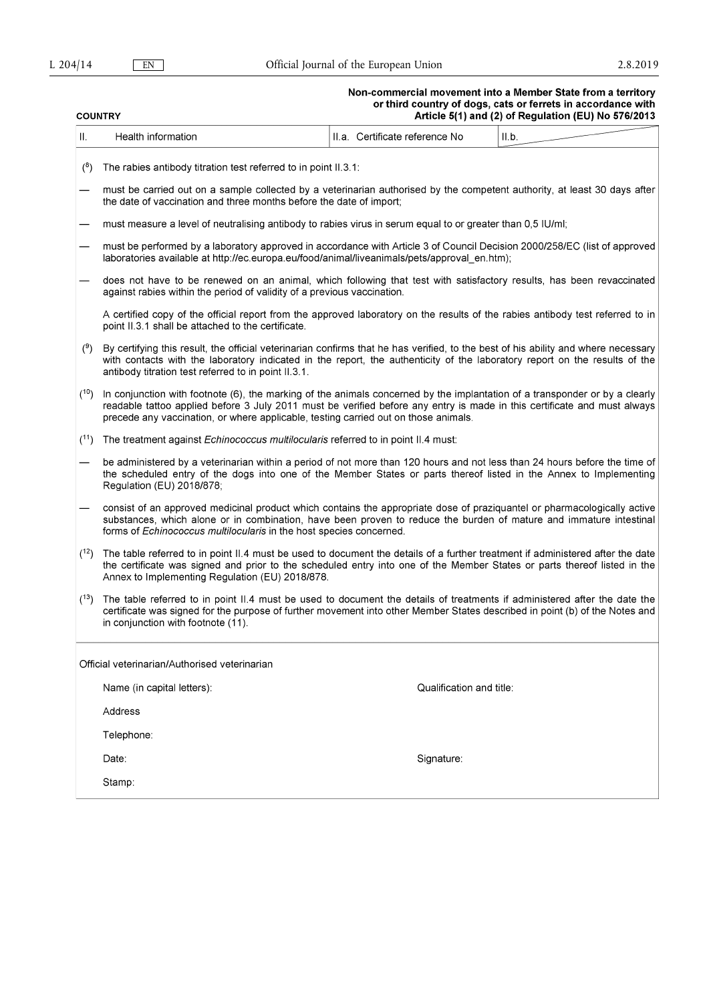# Non-commercial movement into a Member State from a territory<br>or third country of dogs, cats or ferrets in accordance with<br>Article 5(1) and (2) of Regulation (EU) No 576/2013

| <b>COUNTRY</b> |                                                                                                                                                                                                                                                                                                                                                | Article 5(1) and (2) of Regulation (EU) No 576/2013 |                                                                                                                           |       |  |  |  |
|----------------|------------------------------------------------------------------------------------------------------------------------------------------------------------------------------------------------------------------------------------------------------------------------------------------------------------------------------------------------|-----------------------------------------------------|---------------------------------------------------------------------------------------------------------------------------|-------|--|--|--|
| П.             | Health information                                                                                                                                                                                                                                                                                                                             |                                                     | II.a. Certificate reference No                                                                                            | II.b. |  |  |  |
| (8)            | The rabies antibody titration test referred to in point II.3.1:                                                                                                                                                                                                                                                                                |                                                     |                                                                                                                           |       |  |  |  |
|                | the date of vaccination and three months before the date of import;                                                                                                                                                                                                                                                                            |                                                     | must be carried out on a sample collected by a veterinarian authorised by the competent authority, at least 30 days after |       |  |  |  |
|                | must measure a level of neutralising antibody to rabies virus in serum equal to or greater than 0.5 IU/ml;                                                                                                                                                                                                                                     |                                                     |                                                                                                                           |       |  |  |  |
|                | must be performed by a laboratory approved in accordance with Article 3 of Council Decision 2000/258/EC (list of approved<br>laboratories available at http://ec.europa.eu/food/animal/liveanimals/pets/approval_en.htm);                                                                                                                      |                                                     |                                                                                                                           |       |  |  |  |
|                | does not have to be renewed on an animal, which following that test with satisfactory results, has been revaccinated<br>against rabies within the period of validity of a previous vaccination.                                                                                                                                                |                                                     |                                                                                                                           |       |  |  |  |
|                | A certified copy of the official report from the approved laboratory on the results of the rabies antibody test referred to in<br>point II.3.1 shall be attached to the certificate.                                                                                                                                                           |                                                     |                                                                                                                           |       |  |  |  |
| (9)            | By certifying this result, the official veterinarian confirms that he has verified, to the best of his ability and where necessary<br>with contacts with the laboratory indicated in the report, the authenticity of the laboratory report on the results of the<br>antibody titration test referred to in point II.3.1.                       |                                                     |                                                                                                                           |       |  |  |  |
| (10)           | In conjunction with footnote (6), the marking of the animals concerned by the implantation of a transponder or by a clearly<br>readable tattoo applied before 3 July 2011 must be verified before any entry is made in this certificate and must always<br>precede any vaccination, or where applicable, testing carried out on those animals. |                                                     |                                                                                                                           |       |  |  |  |
| (11)           | The treatment against <i>Echinococcus multilocularis</i> referred to in point II.4 must:                                                                                                                                                                                                                                                       |                                                     |                                                                                                                           |       |  |  |  |
|                | be administered by a veterinarian within a period of not more than 120 hours and not less than 24 hours before the time of<br>the scheduled entry of the dogs into one of the Member States or parts thereof listed in the Annex to Implementing<br>Regulation (EU) 2018/878;                                                                  |                                                     |                                                                                                                           |       |  |  |  |
|                | consist of an approved medicinal product which contains the appropriate dose of praziquantel or pharmacologically active<br>substances, which alone or in combination, have been proven to reduce the burden of mature and immature intestinal<br>forms of Echinococcus multilocularis in the host species concerned.                          |                                                     |                                                                                                                           |       |  |  |  |
| (12)           | The table referred to in point II.4 must be used to document the details of a further treatment if administered after the date<br>the certificate was signed and prior to the scheduled entry into one of the Member States or parts thereof listed in the<br>Annex to Implementing Regulation (EU) 2018/878.                                  |                                                     |                                                                                                                           |       |  |  |  |
| (13)           | The table referred to in point II.4 must be used to document the details of treatments if administered after the date the<br>certificate was signed for the purpose of further movement into other Member States described in point (b) of the Notes and<br>in conjunction with footnote (11).                                                 |                                                     |                                                                                                                           |       |  |  |  |
|                | Official veterinarian/Authorised veterinarian                                                                                                                                                                                                                                                                                                  |                                                     |                                                                                                                           |       |  |  |  |
|                | Name (in capital letters).                                                                                                                                                                                                                                                                                                                     |                                                     | Qualification and title:                                                                                                  |       |  |  |  |
|                | Address                                                                                                                                                                                                                                                                                                                                        |                                                     |                                                                                                                           |       |  |  |  |
|                | Telephone:                                                                                                                                                                                                                                                                                                                                     |                                                     |                                                                                                                           |       |  |  |  |
|                | Date:                                                                                                                                                                                                                                                                                                                                          |                                                     | Signature:                                                                                                                |       |  |  |  |
|                | Stamp:                                                                                                                                                                                                                                                                                                                                         |                                                     |                                                                                                                           |       |  |  |  |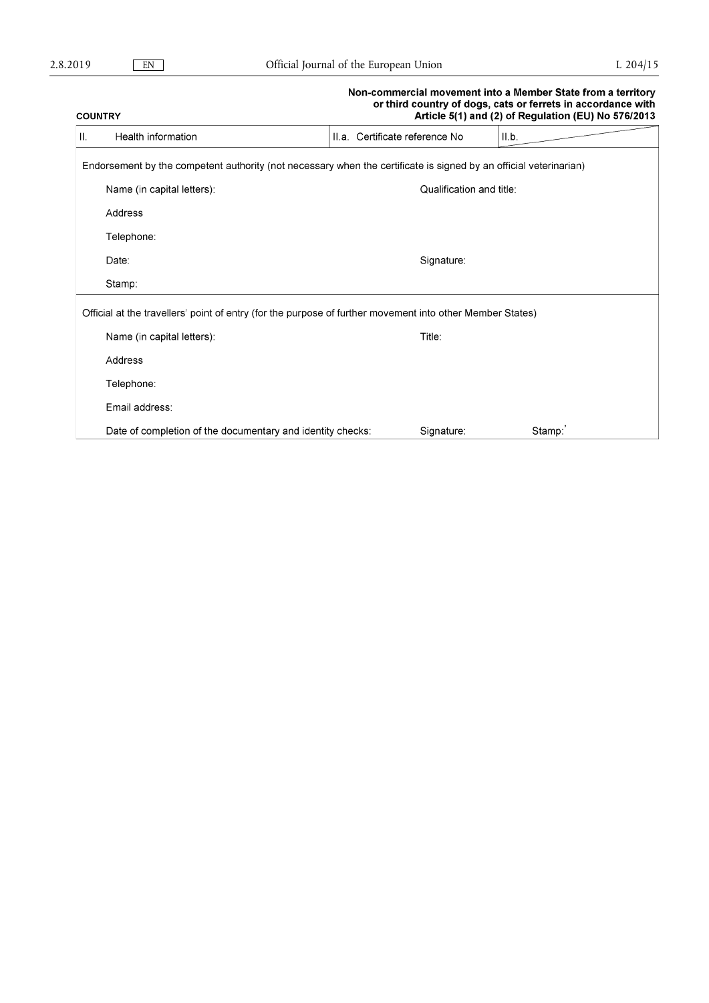## Non-commercial movement into a Member State from a territory or third country of dogs, cats or ferrets in accordance with **COUNTRY** Article 5(1) and (2) of Regulation (EU) No 576/2013  $\ensuremath{\mathsf{H}}\xspace.$ II.a. Certificate reference No  $II.b.$ Health information Endorsement by the competent authority (not necessary when the certificate is signed by an official veterinarian) Name (in capital letters): Qualification and title: Address Telephone: Signature: Date: Stamp: Official at the travellers' point of entry (for the purpose of further movement into other Member States) Name (in capital letters): Title: Address Telephone: Email address: Date of completion of the documentary and identity checks: Stamp:' Signature: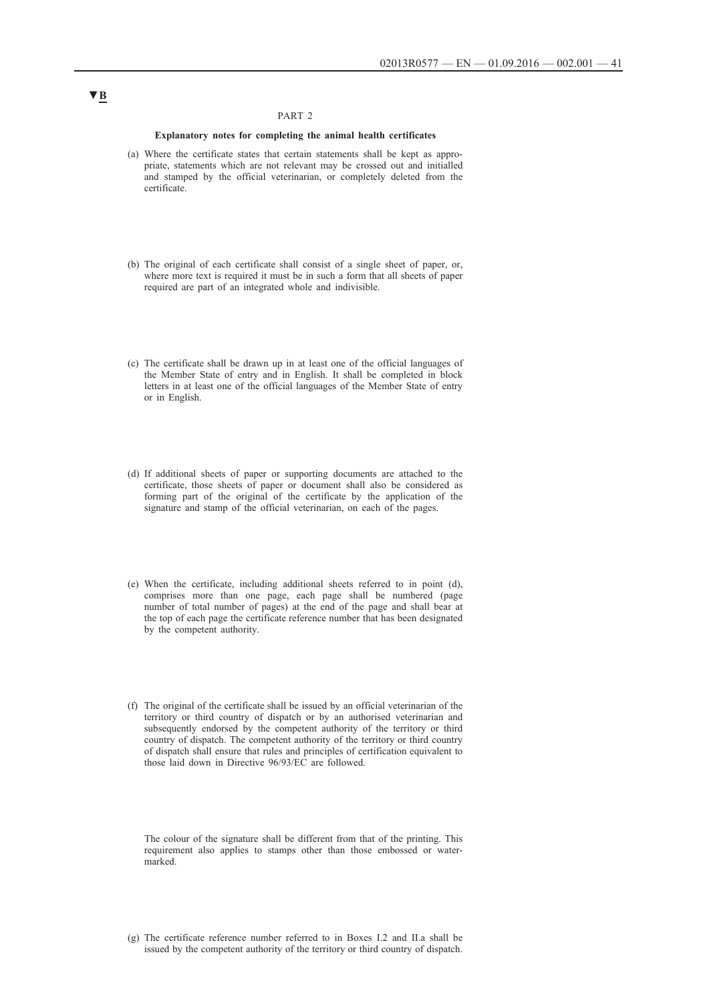### PART 2

#### **Explanatory notes for completing the animal health certificates**

- (a) Where the certificate states that certain statements shall be kept as appropriate, statements which are not relevant may be crossed out and initialled and stamped by the official veterinarian, or completely deleted from the certificate.
- (b) The original of each certificate shall consist of a single sheet of paper, or, where more text is required it must be in such a form that all sheets of paper required are part of an integrated whole and indivisible.
- (c) The certificate shall be drawn up in at least one of the official languages of the Member State of entry and in English. It shall be completed in block letters in at least one of the official languages of the Member State of entry or in English.
- (d) If additional sheets of paper or supporting documents are attached to the certificate, those sheets of paper or document shall also be considered as forming part of the original of the certificate by the application of the signature and stamp of the official veterinarian, on each of the pages.
- (e) When the certificate, including additional sheets referred to in point (d), comprises more than one page, each page shall be numbered (page number of total number of pages) at the end of the page and shall bear at the top of each page the certificate reference number that has been designated by the competent authority.
- (f) The original of the certificate shall be issued by an official veterinarian of the territory or third country of dispatch or by an authorised veterinarian and subsequently endorsed by the competent authority of the territory or third country of dispatch. The competent authority of the territory or third country of dispatch shall ensure that rules and principles of certification equivalent to those laid down in Directive 96/93/EC are followed.

The colour of the signature shall be different from that of the printing. This requirement also applies to stamps other than those embossed or watermarked.

## **▼B**

<sup>(</sup>g) The certificate reference number referred to in Boxes I.2 and II.a shall be issued by the competent authority of the territory or third country of dispatch.